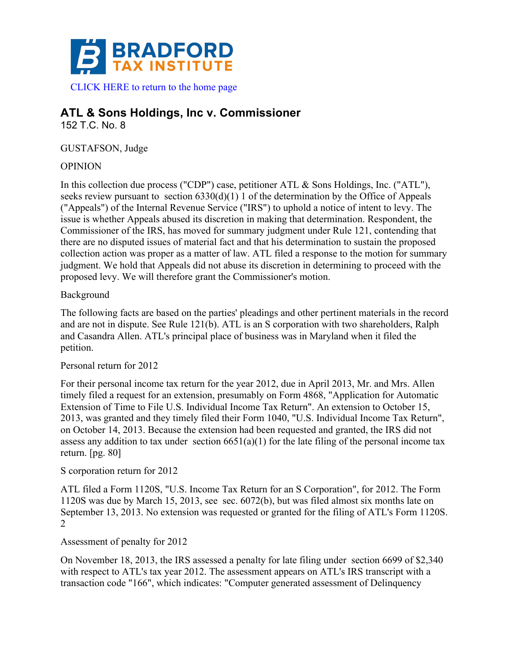

# **ATL & Sons Holdings, Inc v. Commissioner**

152 T.C. No. 8

GUSTAFSON, Judge

# OPINION

In this collection due process ("CDP") case, petitioner ATL & Sons Holdings, Inc. ("ATL"), seeks review pursuant to section  $6330(d)(1) 1$  of the determination by the Office of Appeals ("Appeals") of the Internal Revenue Service ("IRS") to uphold a notice of intent to levy. The issue is whether Appeals abused its discretion in making that determination. Respondent, the Commissioner of the IRS, has moved for summary judgment under Rule 121, contending that there are no disputed issues of material fact and that his determination to sustain the proposed collection action was proper as a matter of law. ATL filed a response to the motion for summary judgment. We hold that Appeals did not abuse its discretion in determining to proceed with the proposed levy. We will therefore grant the Commissioner's motion.

## Background

The following facts are based on the parties' pleadings and other pertinent materials in the record and are not in dispute. See Rule 121(b). ATL is an S corporation with two shareholders, Ralph and Casandra Allen. ATL's principal place of business was in Maryland when it filed the petition.

## Personal return for 2012

For their personal income tax return for the year 2012, due in April 2013, Mr. and Mrs. Allen timely filed a request for an extension, presumably on Form 4868, "Application for Automatic Extension of Time to File U.S. Individual Income Tax Return". An extension to October 15, 2013, was granted and they timely filed their Form 1040, "U.S. Individual Income Tax Return", on October 14, 2013. Because the extension had been requested and granted, the IRS did not assess any addition to tax under section  $6651(a)(1)$  for the late filing of the personal income tax return. [pg. 80]

## S corporation return for 2012

ATL filed a Form 1120S, "U.S. Income Tax Return for an S Corporation", for 2012. The Form 1120S was due by March 15, 2013, see sec. 6072(b), but was filed almost six months late on September 13, 2013. No extension was requested or granted for the filing of ATL's Form 1120S. 2

# Assessment of penalty for 2012

On November 18, 2013, the IRS assessed a penalty for late filing under section 6699 of \$2,340 with respect to ATL's tax year 2012. The assessment appears on ATL's IRS transcript with a transaction code "166", which indicates: "Computer generated assessment of Delinquency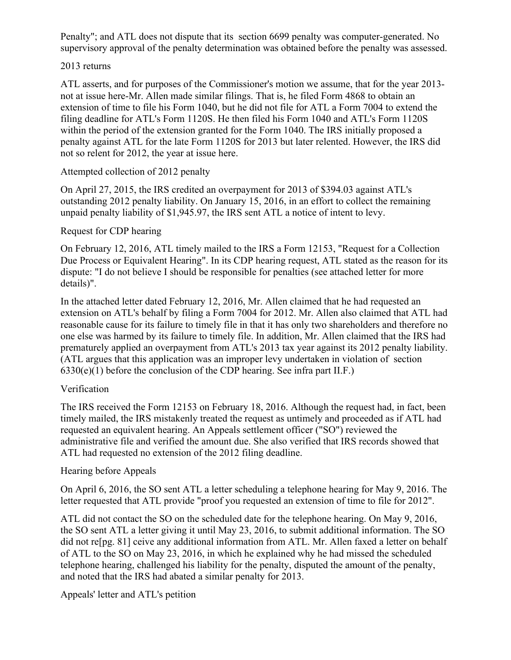Penalty"; and ATL does not dispute that its section 6699 penalty was computer-generated. No supervisory approval of the penalty determination was obtained before the penalty was assessed.

#### 2013 returns

ATL asserts, and for purposes of the Commissioner's motion we assume, that for the year 2013 not at issue here-Mr. Allen made similar filings. That is, he filed Form 4868 to obtain an extension of time to file his Form 1040, but he did not file for ATL a Form 7004 to extend the filing deadline for ATL's Form 1120S. He then filed his Form 1040 and ATL's Form 1120S within the period of the extension granted for the Form 1040. The IRS initially proposed a penalty against ATL for the late Form 1120S for 2013 but later relented. However, the IRS did not so relent for 2012, the year at issue here.

#### Attempted collection of 2012 penalty

On April 27, 2015, the IRS credited an overpayment for 2013 of \$394.03 against ATL's outstanding 2012 penalty liability. On January 15, 2016, in an effort to collect the remaining unpaid penalty liability of \$1,945.97, the IRS sent ATL a notice of intent to levy.

#### Request for CDP hearing

On February 12, 2016, ATL timely mailed to the IRS a Form 12153, "Request for a Collection Due Process or Equivalent Hearing". In its CDP hearing request, ATL stated as the reason for its dispute: "I do not believe I should be responsible for penalties (see attached letter for more details)".

In the attached letter dated February 12, 2016, Mr. Allen claimed that he had requested an extension on ATL's behalf by filing a Form 7004 for 2012. Mr. Allen also claimed that ATL had reasonable cause for its failure to timely file in that it has only two shareholders and therefore no one else was harmed by its failure to timely file. In addition, Mr. Allen claimed that the IRS had prematurely applied an overpayment from ATL's 2013 tax year against its 2012 penalty liability. (ATL argues that this application was an improper levy undertaken in violation of section  $6330(e)(1)$  before the conclusion of the CDP hearing. See infra part II.F.)

## Verification

The IRS received the Form 12153 on February 18, 2016. Although the request had, in fact, been timely mailed, the IRS mistakenly treated the request as untimely and proceeded as if ATL had requested an equivalent hearing. An Appeals settlement officer ("SO") reviewed the administrative file and verified the amount due. She also verified that IRS records showed that ATL had requested no extension of the 2012 filing deadline.

## Hearing before Appeals

On April 6, 2016, the SO sent ATL a letter scheduling a telephone hearing for May 9, 2016. The letter requested that ATL provide "proof you requested an extension of time to file for 2012".

ATL did not contact the SO on the scheduled date for the telephone hearing. On May 9, 2016, the SO sent ATL a letter giving it until May 23, 2016, to submit additional information. The SO did not re[pg. 81] ceive any additional information from ATL. Mr. Allen faxed a letter on behalf of ATL to the SO on May 23, 2016, in which he explained why he had missed the scheduled telephone hearing, challenged his liability for the penalty, disputed the amount of the penalty, and noted that the IRS had abated a similar penalty for 2013.

Appeals' letter and ATL's petition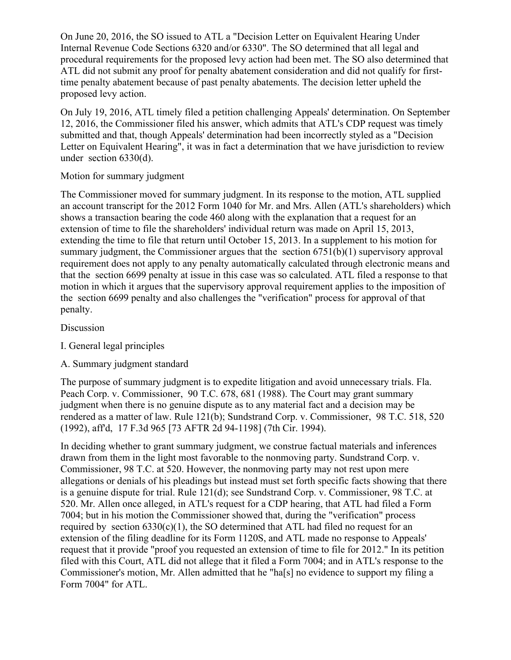On June 20, 2016, the SO issued to ATL a "Decision Letter on Equivalent Hearing Under Internal Revenue Code Sections 6320 and/or 6330". The SO determined that all legal and procedural requirements for the proposed levy action had been met. The SO also determined that ATL did not submit any proof for penalty abatement consideration and did not qualify for firsttime penalty abatement because of past penalty abatements. The decision letter upheld the proposed levy action.

On July 19, 2016, ATL timely filed a petition challenging Appeals' determination. On September 12, 2016, the Commissioner filed his answer, which admits that ATL's CDP request was timely submitted and that, though Appeals' determination had been incorrectly styled as a "Decision Letter on Equivalent Hearing", it was in fact a determination that we have jurisdiction to review under section 6330(d).

## Motion for summary judgment

The Commissioner moved for summary judgment. In its response to the motion, ATL supplied an account transcript for the 2012 Form 1040 for Mr. and Mrs. Allen (ATL's shareholders) which shows a transaction bearing the code 460 along with the explanation that a request for an extension of time to file the shareholders' individual return was made on April 15, 2013, extending the time to file that return until October 15, 2013. In a supplement to his motion for summary judgment, the Commissioner argues that the section 6751(b)(1) supervisory approval requirement does not apply to any penalty automatically calculated through electronic means and that the section 6699 penalty at issue in this case was so calculated. ATL filed a response to that motion in which it argues that the supervisory approval requirement applies to the imposition of the section 6699 penalty and also challenges the "verification" process for approval of that penalty.

## Discussion

- I. General legal principles
- A. Summary judgment standard

The purpose of summary judgment is to expedite litigation and avoid unnecessary trials. Fla. Peach Corp. v. Commissioner, 90 T.C. 678, 681 (1988). The Court may grant summary judgment when there is no genuine dispute as to any material fact and a decision may be rendered as a matter of law. Rule 121(b); Sundstrand Corp. v. Commissioner, 98 T.C. 518, 520 (1992), aff'd, 17 F.3d 965 [73 AFTR 2d 94-1198] (7th Cir. 1994).

In deciding whether to grant summary judgment, we construe factual materials and inferences drawn from them in the light most favorable to the nonmoving party. Sundstrand Corp. v. Commissioner, 98 T.C. at 520. However, the nonmoving party may not rest upon mere allegations or denials of his pleadings but instead must set forth specific facts showing that there is a genuine dispute for trial. Rule 121(d); see Sundstrand Corp. v. Commissioner, 98 T.C. at 520. Mr. Allen once alleged, in ATL's request for a CDP hearing, that ATL had filed a Form 7004; but in his motion the Commissioner showed that, during the "verification" process required by section  $6330(c)(1)$ , the SO determined that ATL had filed no request for an extension of the filing deadline for its Form 1120S, and ATL made no response to Appeals' request that it provide "proof you requested an extension of time to file for 2012." In its petition filed with this Court, ATL did not allege that it filed a Form 7004; and in ATL's response to the Commissioner's motion, Mr. Allen admitted that he "ha[s] no evidence to support my filing a Form 7004" for ATL.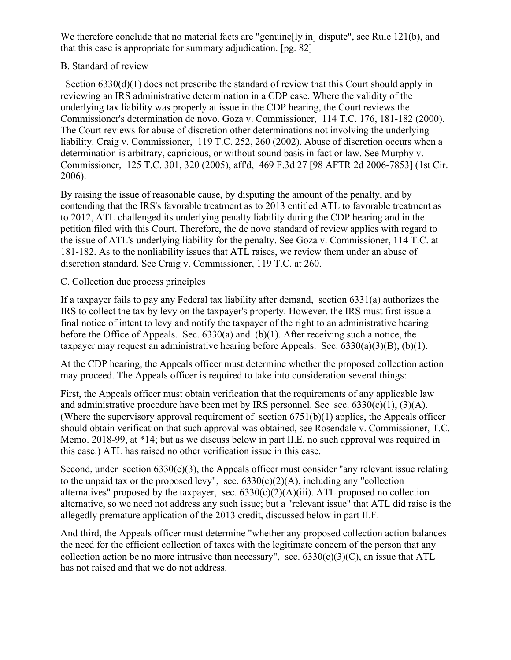We therefore conclude that no material facts are "genuine [ly in] dispute", see Rule 121(b), and that this case is appropriate for summary adjudication. [pg. 82]

## B. Standard of review

Section 6330(d)(1) does not prescribe the standard of review that this Court should apply in reviewing an IRS administrative determination in a CDP case. Where the validity of the underlying tax liability was properly at issue in the CDP hearing, the Court reviews the Commissioner's determination de novo. Goza v. Commissioner, 114 T.C. 176, 181-182 (2000). The Court reviews for abuse of discretion other determinations not involving the underlying liability. Craig v. Commissioner, 119 T.C. 252, 260 (2002). Abuse of discretion occurs when a determination is arbitrary, capricious, or without sound basis in fact or law. See Murphy v. Commissioner, 125 T.C. 301, 320 (2005), aff'd, 469 F.3d 27 [98 AFTR 2d 2006-7853] (1st Cir. 2006).

By raising the issue of reasonable cause, by disputing the amount of the penalty, and by contending that the IRS's favorable treatment as to 2013 entitled ATL to favorable treatment as to 2012, ATL challenged its underlying penalty liability during the CDP hearing and in the petition filed with this Court. Therefore, the de novo standard of review applies with regard to the issue of ATL's underlying liability for the penalty. See Goza v. Commissioner, 114 T.C. at 181-182. As to the nonliability issues that ATL raises, we review them under an abuse of discretion standard. See Craig v. Commissioner, 119 T.C. at 260.

## C. Collection due process principles

If a taxpayer fails to pay any Federal tax liability after demand, section 6331(a) authorizes the IRS to collect the tax by levy on the taxpayer's property. However, the IRS must first issue a final notice of intent to levy and notify the taxpayer of the right to an administrative hearing before the Office of Appeals. Sec. 6330(a) and (b)(1). After receiving such a notice, the taxpayer may request an administrative hearing before Appeals. Sec.  $6330(a)(3)(B)$ ,  $(b)(1)$ .

At the CDP hearing, the Appeals officer must determine whether the proposed collection action may proceed. The Appeals officer is required to take into consideration several things:

First, the Appeals officer must obtain verification that the requirements of any applicable law and administrative procedure have been met by IRS personnel. See sec.  $6330(c)(1)$ ,  $(3)(A)$ . (Where the supervisory approval requirement of section 6751(b)(1) applies, the Appeals officer should obtain verification that such approval was obtained, see Rosendale v. Commissioner, T.C. Memo. 2018-99, at \*14; but as we discuss below in part II.E, no such approval was required in this case.) ATL has raised no other verification issue in this case.

Second, under section  $6330(c)(3)$ , the Appeals officer must consider "any relevant issue relating to the unpaid tax or the proposed levy", sec.  $6330(c)(2)(A)$ , including any "collection alternatives" proposed by the taxpayer, sec.  $6330(c)(2)(A)(iii)$ . ATL proposed no collection alternative, so we need not address any such issue; but a "relevant issue" that ATL did raise is the allegedly premature application of the 2013 credit, discussed below in part II.F.

And third, the Appeals officer must determine "whether any proposed collection action balances the need for the efficient collection of taxes with the legitimate concern of the person that any collection action be no more intrusive than necessary", sec.  $6330(c)(3)(C)$ , an issue that ATL has not raised and that we do not address.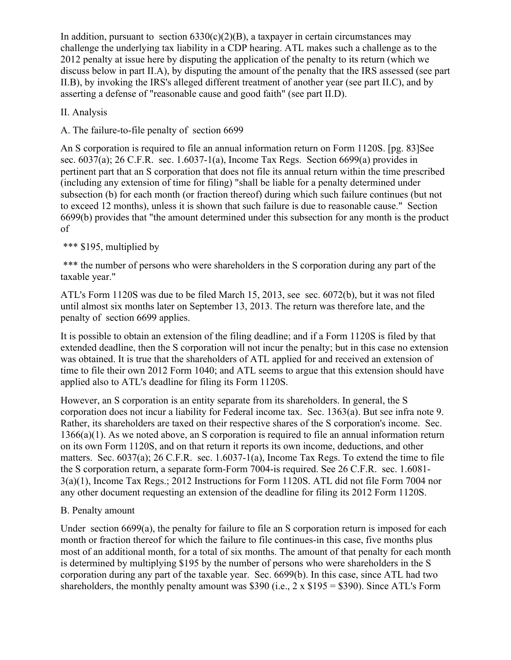In addition, pursuant to section  $6330(c)(2)(B)$ , a taxpayer in certain circumstances may challenge the underlying tax liability in a CDP hearing. ATL makes such a challenge as to the 2012 penalty at issue here by disputing the application of the penalty to its return (which we discuss below in part II.A), by disputing the amount of the penalty that the IRS assessed (see part II.B), by invoking the IRS's alleged different treatment of another year (see part II.C), and by asserting a defense of "reasonable cause and good faith" (see part II.D).

## II. Analysis

A. The failure-to-file penalty of section 6699

An S corporation is required to file an annual information return on Form 1120S. [pg. 83]See sec. 6037(a); 26 C.F.R. sec. 1.6037-1(a), Income Tax Regs. Section 6699(a) provides in pertinent part that an S corporation that does not file its annual return within the time prescribed (including any extension of time for filing) "shall be liable for a penalty determined under subsection (b) for each month (or fraction thereof) during which such failure continues (but not to exceed 12 months), unless it is shown that such failure is due to reasonable cause." Section 6699(b) provides that "the amount determined under this subsection for any month is the product of

# \*\*\* \$195, multiplied by

\*\*\* the number of persons who were shareholders in the S corporation during any part of the taxable year."

ATL's Form 1120S was due to be filed March 15, 2013, see sec. 6072(b), but it was not filed until almost six months later on September 13, 2013. The return was therefore late, and the penalty of section 6699 applies.

It is possible to obtain an extension of the filing deadline; and if a Form 1120S is filed by that extended deadline, then the S corporation will not incur the penalty; but in this case no extension was obtained. It is true that the shareholders of ATL applied for and received an extension of time to file their own 2012 Form 1040; and ATL seems to argue that this extension should have applied also to ATL's deadline for filing its Form 1120S.

However, an S corporation is an entity separate from its shareholders. In general, the S corporation does not incur a liability for Federal income tax. Sec. 1363(a). But see infra note 9. Rather, its shareholders are taxed on their respective shares of the S corporation's income. Sec. 1366(a)(1). As we noted above, an S corporation is required to file an annual information return on its own Form 1120S, and on that return it reports its own income, deductions, and other matters. Sec. 6037(a); 26 C.F.R. sec. 1.6037-1(a), Income Tax Regs. To extend the time to file the S corporation return, a separate form-Form 7004-is required. See 26 C.F.R. sec. 1.6081- 3(a)(1), Income Tax Regs.; 2012 Instructions for Form 1120S. ATL did not file Form 7004 nor any other document requesting an extension of the deadline for filing its 2012 Form 1120S.

## B. Penalty amount

Under section 6699(a), the penalty for failure to file an S corporation return is imposed for each month or fraction thereof for which the failure to file continues-in this case, five months plus most of an additional month, for a total of six months. The amount of that penalty for each month is determined by multiplying \$195 by the number of persons who were shareholders in the S corporation during any part of the taxable year. Sec. 6699(b). In this case, since ATL had two shareholders, the monthly penalty amount was \$390 (i.e., 2 x \$195 = \$390). Since ATL's Form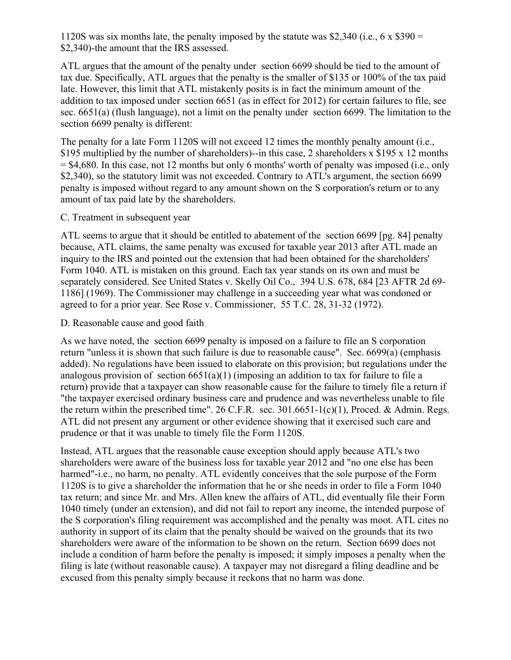1120S was six months late, the penalty imposed by the statute was \$2,340 (i.e., 6 x \$390 = \$2,340)-the amount that the IRS assessed.

ATL argues that the amount of the penalty under section 6699 should be tied to the amount of tax due. Specifically, ATL argues that the penalty is the smaller of \$135 or 100% of the tax paid late. However, this limit that ATL mistakenly posits is in fact the minimum amount of the addition to tax imposed under section 6651 (as in effect for 2012) for certain failures to file, see sec. 6651(a) (flush language), not a limit on the penalty under section 6699. The limitation to the section 6699 penalty is different:

The penalty for a late Form 1120S will not exceed 12 times the monthly penalty amount (i.e., \$195 multiplied by the number of shareholders)--in this case, 2 shareholders x \$195 x 12 months  $=$  \$4,680. In this case, not 12 months but only 6 months' worth of penalty was imposed (i.e., only \$2,340), so the statutory limit was not exceeded. Contrary to ATL's argument, the section 6699 penalty is imposed without regard to any amount shown on the S corporation's return or to any amount of tax paid late by the shareholders.

#### C. Treatment in subsequent year

ATL seems to argue that it should be entitled to abatement of the section 6699 [pg. 84] penalty because, ATL claims, the same penalty was excused for taxable year 2013 after ATL made an inquiry to the IRS and pointed out the extension that had been obtained for the shareholders' Form 1040. ATL is mistaken on this ground. Each tax year stands on its own and must be separately considered. See United States v. Skelly Oil Co., 394 U.S. 678, 684 [23 AFTR 2d 69- 1186] (1969). The Commissioner may challenge in a succeeding year what was condoned or agreed to for a prior year. See Rose v. Commissioner, 55 T.C. 28, 31-32 (1972).

#### D. Reasonable cause and good faith

As we have noted, the section 6699 penalty is imposed on a failure to file an S corporation return "unless it is shown that such failure is due to reasonable cause". Sec. 6699(a) (emphasis added). No regulations have been issued to elaborate on this provision; but regulations under the analogous provision of section  $6651(a)(1)$  (imposing an addition to tax for failure to file a return) provide that a taxpayer can show reasonable cause for the failure to timely file a return if "the taxpayer exercised ordinary business care and prudence and was nevertheless unable to file the return within the prescribed time". 26 C.F.R. sec.  $301.6651-1(c)(1)$ , Proced. & Admin. Regs. ATL did not present any argument or other evidence showing that it exercised such care and prudence or that it was unable to timely file the Form 1120S.

Instead, ATL argues that the reasonable cause exception should apply because ATL's two shareholders were aware of the business loss for taxable year 2012 and "no one else has been harmed"-i.e., no harm, no penalty. ATL evidently conceives that the sole purpose of the Form 1120S is to give a shareholder the information that he or she needs in order to file a Form 1040 tax return; and since Mr. and Mrs. Allen knew the affairs of ATL, did eventually file their Form 1040 timely (under an extension), and did not fail to report any income, the intended purpose of the S corporation's filing requirement was accomplished and the penalty was moot. ATL cites no authority in support of its claim that the penalty should be waived on the grounds that its two shareholders were aware of the information to be shown on the return. Section 6699 does not include a condition of harm before the penalty is imposed; it simply imposes a penalty when the filing is late (without reasonable cause). A taxpayer may not disregard a filing deadline and be excused from this penalty simply because it reckons that no harm was done.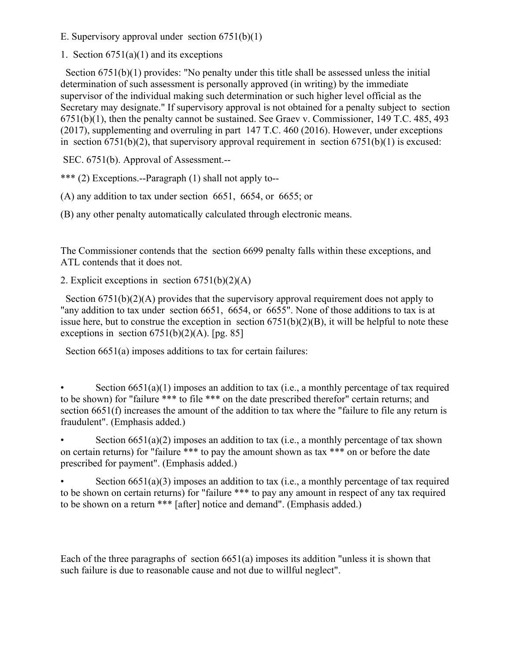E. Supervisory approval under section  $6751(b)(1)$ 

1. Section  $6751(a)(1)$  and its exceptions

 Section 6751(b)(1) provides: "No penalty under this title shall be assessed unless the initial determination of such assessment is personally approved (in writing) by the immediate supervisor of the individual making such determination or such higher level official as the Secretary may designate." If supervisory approval is not obtained for a penalty subject to section 6751(b)(1), then the penalty cannot be sustained. See Graev v. Commissioner, 149 T.C. 485, 493 (2017), supplementing and overruling in part 147 T.C. 460 (2016). However, under exceptions in section  $6751(b)(2)$ , that supervisory approval requirement in section  $6751(b)(1)$  is excused:

SEC. 6751(b). Approval of Assessment.--

\*\*\* (2) Exceptions.--Paragraph (1) shall not apply to--

(A) any addition to tax under section 6651, 6654, or 6655; or

(B) any other penalty automatically calculated through electronic means.

The Commissioner contends that the section 6699 penalty falls within these exceptions, and ATL contends that it does not.

2. Explicit exceptions in section  $6751(b)(2)(A)$ 

Section 6751(b)(2)(A) provides that the supervisory approval requirement does not apply to "any addition to tax under section 6651, 6654, or 6655". None of those additions to tax is at issue here, but to construe the exception in section  $6751(b)(2)(B)$ , it will be helpful to note these exceptions in section  $6751(b)(2)(A)$ . [pg. 85]

Section  $6651(a)$  imposes additions to tax for certain failures:

Section  $6651(a)(1)$  imposes an addition to tax (i.e., a monthly percentage of tax required to be shown) for "failure \*\*\* to file \*\*\* on the date prescribed therefor" certain returns; and section 6651(f) increases the amount of the addition to tax where the "failure to file any return is fraudulent". (Emphasis added.)

Section  $6651(a)(2)$  imposes an addition to tax (i.e., a monthly percentage of tax shown on certain returns) for "failure \*\*\* to pay the amount shown as tax \*\*\* on or before the date prescribed for payment". (Emphasis added.)

Section  $6651(a)(3)$  imposes an addition to tax (i.e., a monthly percentage of tax required to be shown on certain returns) for "failure \*\*\* to pay any amount in respect of any tax required to be shown on a return \*\*\* [after] notice and demand". (Emphasis added.)

Each of the three paragraphs of section 6651(a) imposes its addition "unless it is shown that such failure is due to reasonable cause and not due to willful neglect".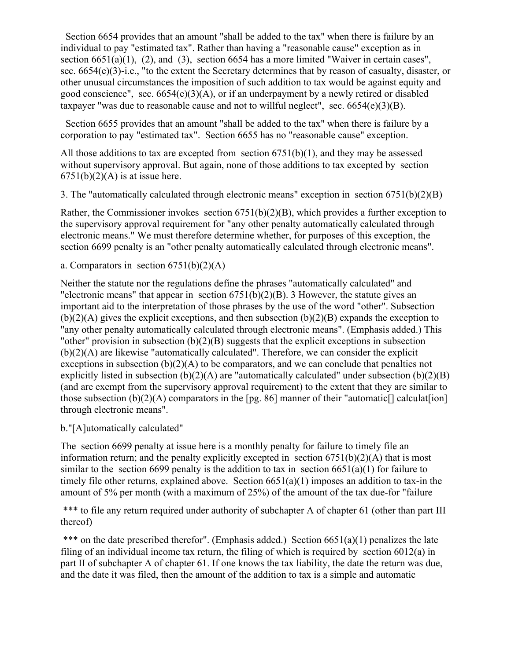Section 6654 provides that an amount "shall be added to the tax" when there is failure by an individual to pay "estimated tax". Rather than having a "reasonable cause" exception as in section 6651(a)(1), (2), and (3), section 6654 has a more limited "Waiver in certain cases", sec. 6654(e)(3)-i.e., "to the extent the Secretary determines that by reason of casualty, disaster, or other unusual circumstances the imposition of such addition to tax would be against equity and good conscience", sec.  $6654(e)(3)(A)$ , or if an underpayment by a newly retired or disabled taxpayer "was due to reasonable cause and not to willful neglect", sec.  $6654(e)(3)(B)$ .

 Section 6655 provides that an amount "shall be added to the tax" when there is failure by a corporation to pay "estimated tax". Section 6655 has no "reasonable cause" exception.

All those additions to tax are excepted from section  $6751(b)(1)$ , and they may be assessed without supervisory approval. But again, none of those additions to tax excepted by section  $6751(b)(2)(A)$  is at issue here.

3. The "automatically calculated through electronic means" exception in section 6751(b)(2)(B)

Rather, the Commissioner invokes section 6751(b)(2)(B), which provides a further exception to the supervisory approval requirement for "any other penalty automatically calculated through electronic means." We must therefore determine whether, for purposes of this exception, the section 6699 penalty is an "other penalty automatically calculated through electronic means".

a. Comparators in section  $6751(b)(2)(A)$ 

Neither the statute nor the regulations define the phrases "automatically calculated" and "electronic means" that appear in section  $6751(b)(2)(B)$ . 3 However, the statute gives an important aid to the interpretation of those phrases by the use of the word "other". Subsection  $(b)(2)(A)$  gives the explicit exceptions, and then subsection  $(b)(2)(B)$  expands the exception to "any other penalty automatically calculated through electronic means". (Emphasis added.) This "other" provision in subsection  $(b)(2)(B)$  suggests that the explicit exceptions in subsection (b)(2)(A) are likewise "automatically calculated". Therefore, we can consider the explicit exceptions in subsection  $(b)(2)(A)$  to be comparators, and we can conclude that penalties not explicitly listed in subsection  $(b)(2)(A)$  are "automatically calculated" under subsection  $(b)(2)(B)$ (and are exempt from the supervisory approval requirement) to the extent that they are similar to those subsection  $(b)(2)(A)$  comparators in the [pg. 86] manner of their "automatic[] calculat [ion] through electronic means".

## b."[A]utomatically calculated"

The section 6699 penalty at issue here is a monthly penalty for failure to timely file an information return; and the penalty explicitly excepted in section  $6751(b)(2)(A)$  that is most similar to the section 6699 penalty is the addition to tax in section 6651(a)(1) for failure to timely file other returns, explained above. Section 6651(a)(1) imposes an addition to tax-in the amount of 5% per month (with a maximum of 25%) of the amount of the tax due-for "failure

\*\*\* to file any return required under authority of subchapter A of chapter 61 (other than part III thereof)

\*\*\* on the date prescribed therefor". (Emphasis added.) Section 6651(a)(1) penalizes the late filing of an individual income tax return, the filing of which is required by section  $6012(a)$  in part II of subchapter A of chapter 61. If one knows the tax liability, the date the return was due, and the date it was filed, then the amount of the addition to tax is a simple and automatic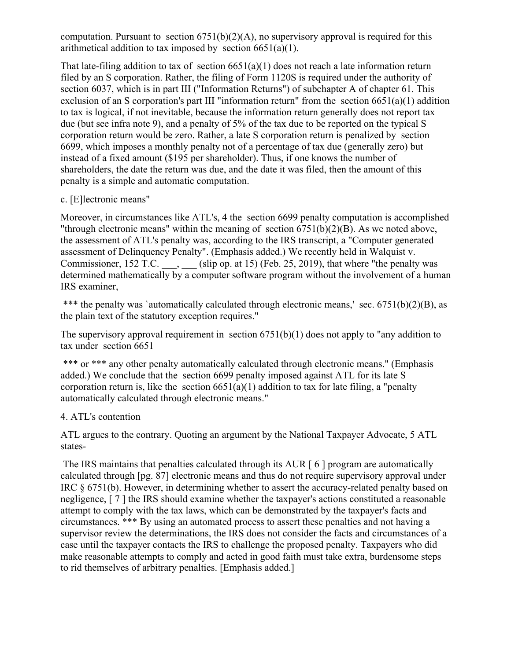computation. Pursuant to section  $6751(b)(2)(A)$ , no supervisory approval is required for this arithmetical addition to tax imposed by section  $6651(a)(1)$ .

That late-filing addition to tax of section  $6651(a)(1)$  does not reach a late information return filed by an S corporation. Rather, the filing of Form 1120S is required under the authority of section 6037, which is in part III ("Information Returns") of subchapter A of chapter 61. This exclusion of an S corporation's part III "information return" from the section  $6651(a)(1)$  addition to tax is logical, if not inevitable, because the information return generally does not report tax due (but see infra note 9), and a penalty of 5% of the tax due to be reported on the typical S corporation return would be zero. Rather, a late S corporation return is penalized by section 6699, which imposes a monthly penalty not of a percentage of tax due (generally zero) but instead of a fixed amount (\$195 per shareholder). Thus, if one knows the number of shareholders, the date the return was due, and the date it was filed, then the amount of this penalty is a simple and automatic computation.

#### c. [E]lectronic means"

Moreover, in circumstances like ATL's, 4 the section 6699 penalty computation is accomplished "through electronic means" within the meaning of section 6751(b)(2)(B). As we noted above, the assessment of ATL's penalty was, according to the IRS transcript, a "Computer generated assessment of Delinquency Penalty". (Emphasis added.) We recently held in Walquist v. Commissioner,  $152$  T.C.  $\qquad$ , (slip op. at 15) (Feb. 25, 2019), that where "the penalty was determined mathematically by a computer software program without the involvement of a human IRS examiner,

\*\*\* the penalty was `automatically calculated through electronic means,' sec.  $6751(b)(2)(B)$ , as the plain text of the statutory exception requires."

The supervisory approval requirement in section 6751(b)(1) does not apply to "any addition to tax under section 6651

\*\*\* or \*\*\* any other penalty automatically calculated through electronic means." (Emphasis added.) We conclude that the section 6699 penalty imposed against ATL for its late S corporation return is, like the section  $6651(a)(1)$  addition to tax for late filing, a "penalty automatically calculated through electronic means."

## 4. ATL's contention

ATL argues to the contrary. Quoting an argument by the National Taxpayer Advocate, 5 ATL states-

The IRS maintains that penalties calculated through its AUR [6] program are automatically calculated through [pg. 87] electronic means and thus do not require supervisory approval under IRC § 6751(b). However, in determining whether to assert the accuracy-related penalty based on negligence, [ 7 ] the IRS should examine whether the taxpayer's actions constituted a reasonable attempt to comply with the tax laws, which can be demonstrated by the taxpayer's facts and circumstances. \*\*\* By using an automated process to assert these penalties and not having a supervisor review the determinations, the IRS does not consider the facts and circumstances of a case until the taxpayer contacts the IRS to challenge the proposed penalty. Taxpayers who did make reasonable attempts to comply and acted in good faith must take extra, burdensome steps to rid themselves of arbitrary penalties. [Emphasis added.]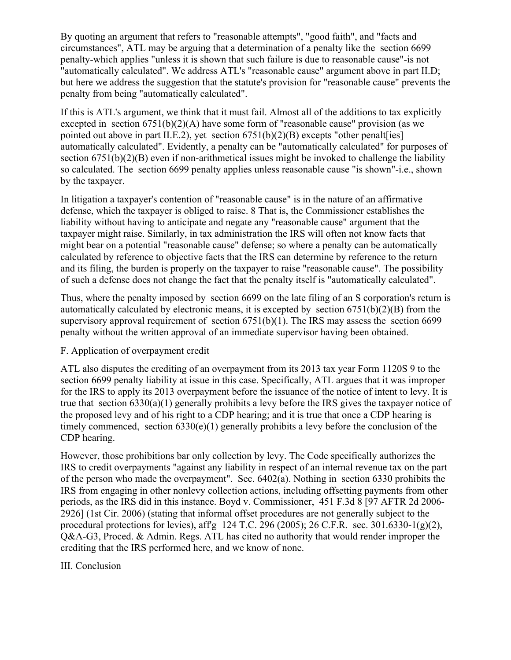By quoting an argument that refers to "reasonable attempts", "good faith", and "facts and circumstances", ATL may be arguing that a determination of a penalty like the section 6699 penalty-which applies "unless it is shown that such failure is due to reasonable cause"-is not "automatically calculated". We address ATL's "reasonable cause" argument above in part II.D; but here we address the suggestion that the statute's provision for "reasonable cause" prevents the penalty from being "automatically calculated".

If this is ATL's argument, we think that it must fail. Almost all of the additions to tax explicitly excepted in section  $6751(b)(2)(A)$  have some form of "reasonable cause" provision (as we pointed out above in part II.E.2), yet section  $6751(b)(2)(B)$  excepts "other penalt [ies] automatically calculated". Evidently, a penalty can be "automatically calculated" for purposes of section 6751(b)(2)(B) even if non-arithmetical issues might be invoked to challenge the liability so calculated. The section 6699 penalty applies unless reasonable cause "is shown"-i.e., shown by the taxpayer.

In litigation a taxpayer's contention of "reasonable cause" is in the nature of an affirmative defense, which the taxpayer is obliged to raise. 8 That is, the Commissioner establishes the liability without having to anticipate and negate any "reasonable cause" argument that the taxpayer might raise. Similarly, in tax administration the IRS will often not know facts that might bear on a potential "reasonable cause" defense; so where a penalty can be automatically calculated by reference to objective facts that the IRS can determine by reference to the return and its filing, the burden is properly on the taxpayer to raise "reasonable cause". The possibility of such a defense does not change the fact that the penalty itself is "automatically calculated".

Thus, where the penalty imposed by section 6699 on the late filing of an S corporation's return is automatically calculated by electronic means, it is excepted by section  $6751(b)(2)(B)$  from the supervisory approval requirement of section 6751(b)(1). The IRS may assess the section 6699 penalty without the written approval of an immediate supervisor having been obtained.

## F. Application of overpayment credit

ATL also disputes the crediting of an overpayment from its 2013 tax year Form 1120S 9 to the section 6699 penalty liability at issue in this case. Specifically, ATL argues that it was improper for the IRS to apply its 2013 overpayment before the issuance of the notice of intent to levy. It is true that section 6330(a)(1) generally prohibits a levy before the IRS gives the taxpayer notice of the proposed levy and of his right to a CDP hearing; and it is true that once a CDP hearing is timely commenced, section 6330(e)(1) generally prohibits a levy before the conclusion of the CDP hearing.

However, those prohibitions bar only collection by levy. The Code specifically authorizes the IRS to credit overpayments "against any liability in respect of an internal revenue tax on the part of the person who made the overpayment". Sec. 6402(a). Nothing in section 6330 prohibits the IRS from engaging in other nonlevy collection actions, including offsetting payments from other periods, as the IRS did in this instance. Boyd v. Commissioner, 451 F.3d 8 [97 AFTR 2d 2006- 2926] (1st Cir. 2006) (stating that informal offset procedures are not generally subject to the procedural protections for levies), aff'g 124 T.C. 296 (2005); 26 C.F.R. sec. 301.6330-1(g)(2), Q&A-G3, Proced. & Admin. Regs. ATL has cited no authority that would render improper the crediting that the IRS performed here, and we know of none.

## III. Conclusion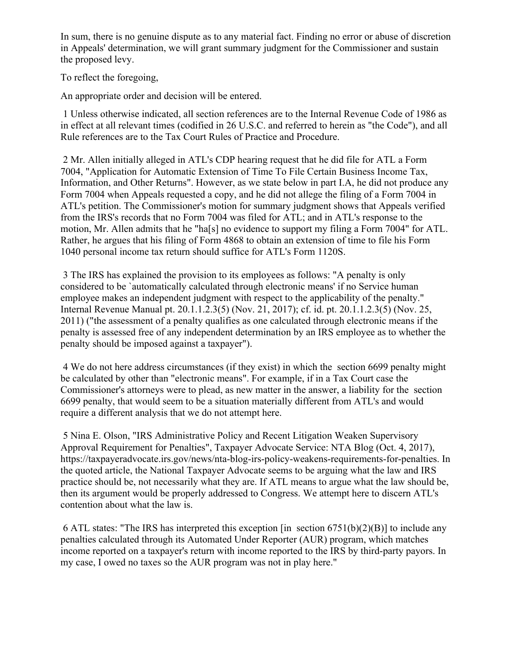In sum, there is no genuine dispute as to any material fact. Finding no error or abuse of discretion in Appeals' determination, we will grant summary judgment for the Commissioner and sustain the proposed levy.

To reflect the foregoing,

An appropriate order and decision will be entered.

1 Unless otherwise indicated, all section references are to the Internal Revenue Code of 1986 as in effect at all relevant times (codified in 26 U.S.C. and referred to herein as "the Code"), and all Rule references are to the Tax Court Rules of Practice and Procedure.

2 Mr. Allen initially alleged in ATL's CDP hearing request that he did file for ATL a Form 7004, "Application for Automatic Extension of Time To File Certain Business Income Tax, Information, and Other Returns". However, as we state below in part I.A, he did not produce any Form 7004 when Appeals requested a copy, and he did not allege the filing of a Form 7004 in ATL's petition. The Commissioner's motion for summary judgment shows that Appeals verified from the IRS's records that no Form 7004 was filed for ATL; and in ATL's response to the motion, Mr. Allen admits that he "ha[s] no evidence to support my filing a Form 7004" for ATL. Rather, he argues that his filing of Form 4868 to obtain an extension of time to file his Form 1040 personal income tax return should suffice for ATL's Form 1120S.

3 The IRS has explained the provision to its employees as follows: "A penalty is only considered to be `automatically calculated through electronic means' if no Service human employee makes an independent judgment with respect to the applicability of the penalty." Internal Revenue Manual pt. 20.1.1.2.3(5) (Nov. 21, 2017); cf. id. pt. 20.1.1.2.3(5) (Nov. 25, 2011) ("the assessment of a penalty qualifies as one calculated through electronic means if the penalty is assessed free of any independent determination by an IRS employee as to whether the penalty should be imposed against a taxpayer").

4 We do not here address circumstances (if they exist) in which the section 6699 penalty might be calculated by other than "electronic means". For example, if in a Tax Court case the Commissioner's attorneys were to plead, as new matter in the answer, a liability for the section 6699 penalty, that would seem to be a situation materially different from ATL's and would require a different analysis that we do not attempt here.

5 Nina E. Olson, "IRS Administrative Policy and Recent Litigation Weaken Supervisory Approval Requirement for Penalties", Taxpayer Advocate Service: NTA Blog (Oct. 4, 2017), https://taxpayeradvocate.irs.gov/news/nta-blog-irs-policy-weakens-requirements-for-penalties. In the quoted article, the National Taxpayer Advocate seems to be arguing what the law and IRS practice should be, not necessarily what they are. If ATL means to argue what the law should be, then its argument would be properly addressed to Congress. We attempt here to discern ATL's contention about what the law is.

6 ATL states: "The IRS has interpreted this exception [in section  $6751(b)(2)(B)$ ] to include any penalties calculated through its Automated Under Reporter (AUR) program, which matches income reported on a taxpayer's return with income reported to the IRS by third-party payors. In my case, I owed no taxes so the AUR program was not in play here."